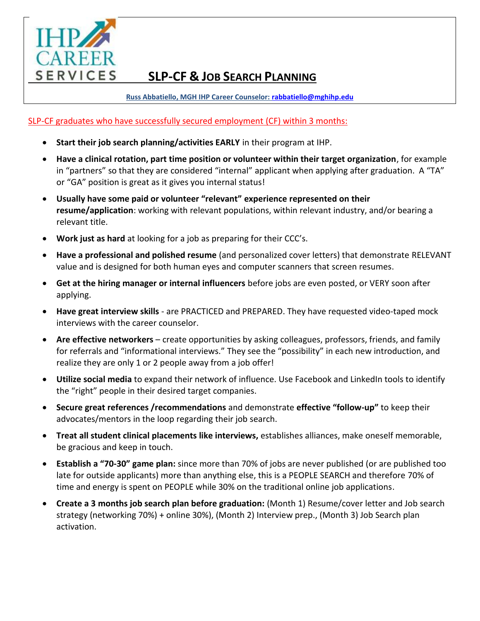

# **SLP-CF & JOB SEARCH PLANNING**

**Russ Abbatiello, MGH IHP Career Counselor: [rabbatiello@mghihp.edu](mailto:rabbatiello@mghihp.edu)** 

SLP-CF graduates who have successfully secured employment (CF) within 3 months:

- **Start their job search planning/activities EARLY** in their program at IHP.
- **Have a clinical rotation, part time position or volunteer within their target organization**, for example in "partners" so that they are considered "internal" applicant when applying after graduation. A "TA" or "GA" position is great as it gives you internal status!
- **Usually have some paid or volunteer "relevant" experience represented on their resume/application**: working with relevant populations, within relevant industry, and/or bearing a relevant title.
- **Work just as hard** at looking for a job as preparing for their CCC's.
- **Have a professional and polished resume** (and personalized cover letters) that demonstrate RELEVANT value and is designed for both human eyes and computer scanners that screen resumes.
- **Get at the hiring manager or internal influencers** before jobs are even posted, or VERY soon after applying.
- **Have great interview skills** are PRACTICED and PREPARED. They have requested video-taped mock interviews with the career counselor.
- **Are effective networkers** create opportunities by asking colleagues, professors, friends, and family for referrals and "informational interviews." They see the "possibility" in each new introduction, and realize they are only 1 or 2 people away from a job offer!
- **Utilize social media** to expand their network of influence. Use Facebook and LinkedIn tools to identify the "right" people in their desired target companies.
- **Secure great references /recommendations** and demonstrate **effective "follow-up"** to keep their advocates/mentors in the loop regarding their job search.
- **Treat all student clinical placements like interviews,** establishes alliances, make oneself memorable, be gracious and keep in touch.
- **Establish a "70-30" game plan:** since more than 70% of jobs are never published (or are published too late for outside applicants) more than anything else, this is a PEOPLE SEARCH and therefore 70% of time and energy is spent on PEOPLE while 30% on the traditional online job applications.
- **Create a 3 months job search plan before graduation:** (Month 1) Resume/cover letter and Job search strategy (networking 70%) + online 30%), (Month 2) Interview prep., (Month 3) Job Search plan activation.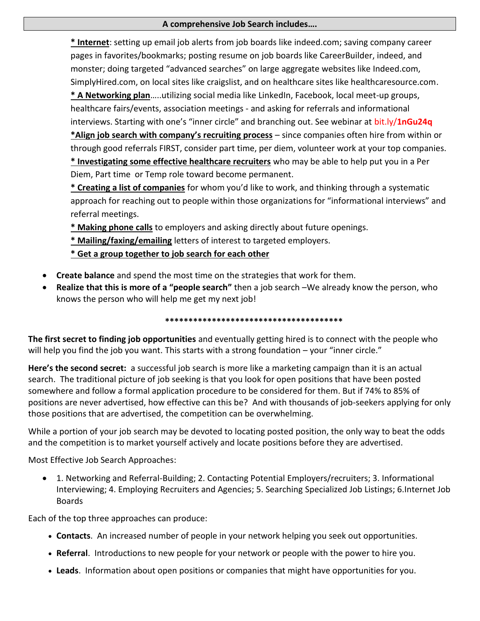## **A comprehensive Job Search includes….**

**\* Internet**: setting up email job alerts from job boards like indeed.com; saving company career pages in favorites/bookmarks; posting resume on job boards like CareerBuilder, indeed, and monster; doing targeted "advanced searches" on large aggregate websites like Indeed.com, SimplyHired.com, on local sites like craigslist, and on healthcare sites like healthcaresource.com. **\* A Networking plan**…..utilizing social media like LinkedIn, Facebook, local meet-up groups, healthcare fairs/events, association meetings - and asking for referrals and informational interviews. Starting with one's "inner circle" and branching out. See webinar at bit.ly/**1nGu24q \*Align job search with company's recruiting process** – since companies often hire from within or through good referrals FIRST, consider part time, per diem, volunteer work at your top companies. **\* Investigating some effective healthcare recruiters** who may be able to help put you in a Per Diem, Part time or Temp role toward become permanent.

**\* Creating a list of companies** for whom you'd like to work, and thinking through a systematic approach for reaching out to people within those organizations for "informational interviews" and referral meetings.

**\* Making phone calls** to employers and asking directly about future openings.

**\* Mailing/faxing/emailing** letters of interest to targeted employers.

**\* Get a group together to job search for each other**

- **Create balance** and spend the most time on the strategies that work for them.
- **Realize that this is more of a "people search"** then a job search –We already know the person, who knows the person who will help me get my next job!

## \*\*\*\*\*\*\*\*\*\*\*\*\*\*\*\*\*\*\*\*\*\*\*\*\*\*\*\*\*\*\*\*\*\*\*\*

**The first secret to finding job opportunities** and eventually getting hired is to connect with the people who will help you find the job you want. This starts with a strong foundation – your "inner circle."

**Here's the second secret:** a successful job search is more like a marketing campaign than it is an actual search. The traditional picture of job seeking is that you look for open positions that have been posted somewhere and follow a formal application procedure to be considered for them. But if 74% to 85% of positions are never advertised, how effective can this be? And with thousands of job-seekers applying for only those positions that are advertised, the competition can be overwhelming.

While a portion of your job search may be devoted to locating posted position, the only way to beat the odds and the competition is to market yourself actively and locate positions before they are advertised.

Most Effective Job Search Approaches:

 1. Networking and Referral-Building; 2. Contacting Potential Employers/recruiters; 3. Informational Interviewing; 4. Employing Recruiters and Agencies; 5. Searching Specialized Job Listings; 6.Internet Job Boards

Each of the top three approaches can produce:

- **Contacts**. An increased number of people in your network helping you seek out opportunities.
- **Referral**. Introductions to new people for your network or people with the power to hire you.
- **Leads**. Information about open positions or companies that might have opportunities for you.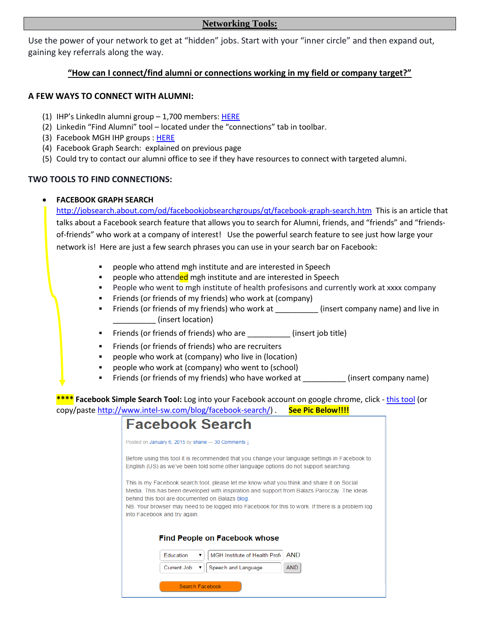#### **Networking Tools:**

Use the power of your network to get at "hidden" jobs. Start with your "inner circle" and then expand out, gaining key referrals along the way.

## **"How can I connect/find alumni or connections working in my field or company target?"**

### **A FEW WAYS TO CONNECT WITH ALUMNI:**

- (1) IHP's LinkedIn alumni group 1,700 members[: HERE](http://www.linkedin.com/groups?mostPopular=&gid=1466707)
- (2) Linkedin "Find Alumni" tool located under the "connections" tab in toolbar.
- (3) Facebook MGH IHP groups : [HERE](https://www.facebook.com/groups/groupsatmgh/)
- (4) Facebook Graph Search: explained on previous page
- (5) Could try to contact our alumni office to see if they have resources to connect with targeted alumni.

## **TWO TOOLS TO FIND CONNECTIONS:**

#### **FACEBOOK GRAPH SEARCH**

<http://jobsearch.about.com/od/facebookjobsearchgroups/qt/facebook-graph-search.htm>This is an article that talks about a Facebook search feature that allows you to search for Alumni, friends, and "friends" and "friendsof-friends" who work at a company of interest! Use the powerful search feature to see just how large your network is! Here are just a few search phrases you can use in your search bar on Facebook:

- people who attend mgh institute and are interested in Speech
- **•** people who attended mgh institute and are interested in Speech
- People who went to mgh institute of health profesisons and currently work at xxxx company
- Friends (or friends of my friends) who work at (company)
- Friends (or friends of my friends) who work at \_\_\_\_\_\_\_\_\_\_ (insert company name) and live in \_\_\_\_\_\_\_\_\_\_ (insert location)
- Friends (or friends of friends) who are \_\_\_\_\_\_\_\_\_\_ (insert job title)
- **Fiends (or friends of friends) who are recruiters**
- people who work at (company) who live in (location)
- people who work at (company) who went to (school)
- Friends (or friends of my friends) who have worked at \_\_\_\_\_\_\_\_\_\_\_\_(insert company name)

**\*\*\*\* Facebook Simple Search Tool:** Log into your Facebook account on google chrome, click - [this tool](http://www.intel-sw.com/blog/facebook-search/) (or copy/past[e http://www.intel-sw.com/blog/facebook-search/\)](http://www.intel-sw.com/blog/facebook-search/) . **See Pic Below!!!!**

| <b>Facebook Search</b>                                                                                                                                                                                                                                                                                                                                                          |  |  |  |
|---------------------------------------------------------------------------------------------------------------------------------------------------------------------------------------------------------------------------------------------------------------------------------------------------------------------------------------------------------------------------------|--|--|--|
| Posted on January 6, 2015 by shane - 30 Comments 1                                                                                                                                                                                                                                                                                                                              |  |  |  |
| Before using this tool it is recommended that you change your language settings in Facebook to<br>English (US) as we've been told some other language options do not support searching.                                                                                                                                                                                         |  |  |  |
| This is my Facebook search tool, please let me know what you think and share it on Social<br>Media. This has been developed with inspiration and support from Balazs Paroczay. The ideas<br>behind this tool are documented on Balazs blog.<br>NB. Your browser may need to be logged into Facebook for this to work. If there is a problem log<br>into Facebook and try again. |  |  |  |
| <b>Find People on Facebook whose</b>                                                                                                                                                                                                                                                                                                                                            |  |  |  |
| <b>AND</b><br>MGH Institute of Health Profil<br><b>Education</b>                                                                                                                                                                                                                                                                                                                |  |  |  |
| Speech and Language<br><b>AND</b><br>Current Job<br>▼                                                                                                                                                                                                                                                                                                                           |  |  |  |
| Search Facebook                                                                                                                                                                                                                                                                                                                                                                 |  |  |  |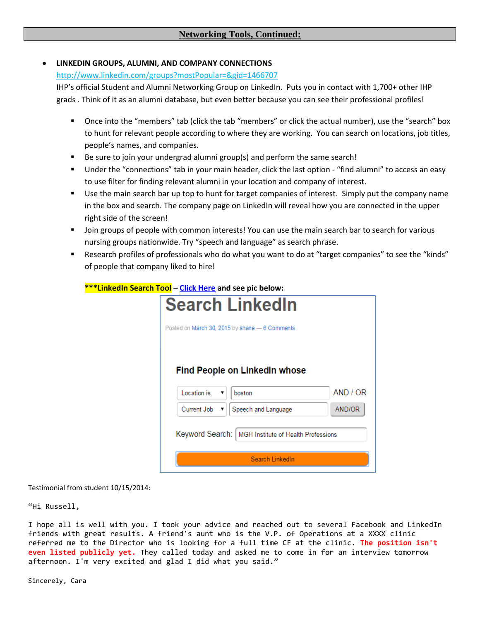### **LINKEDIN GROUPS, ALUMNI, AND COMPANY CONNECTIONS**

#### <http://www.linkedin.com/groups?mostPopular=&gid=1466707>

IHP's official Student and Alumni Networking Group on LinkedIn. Puts you in contact with 1,700+ other IHP grads . Think of it as an alumni database, but even better because you can see their professional profiles!

- Once into the "members" tab (click the tab "members" or click the actual number), use the "search" box to hunt for relevant people according to where they are working. You can search on locations, job titles, people's names, and companies.
- Be sure to join your undergrad alumni group(s) and perform the same search!
- Under the "connections" tab in your main header, click the last option "find alumni" to access an easy to use filter for finding relevant alumni in your location and company of interest.
- Use the main search bar up top to hunt for target companies of interest. Simply put the company name in the box and search. The company page on LinkedIn will reveal how you are connected in the upper right side of the screen!
- Join groups of people with common interests! You can use the main search bar to search for various nursing groups nationwide. Try "speech and language" as search phrase.
- Research profiles of professionals who do what you want to do at "target companies" to see the "kinds" of people that company liked to hire!

| <b>Search LinkedIn</b>                                                   |                     |          |  |
|--------------------------------------------------------------------------|---------------------|----------|--|
| Posted on March 30, 2015 by shane - 6 Comments                           |                     |          |  |
|                                                                          |                     |          |  |
| <b>Find People on LinkedIn whose</b>                                     |                     |          |  |
| Location is                                                              | boston              | AND / OR |  |
|                                                                          |                     |          |  |
| Current Job                                                              | Speech and Language | AND/OR   |  |
| Keyword Search:   MGH Institute of Health Professions<br>Search LinkedIn |                     |          |  |
|                                                                          |                     |          |  |

#### **\*\*\*LinkedIn Search Tool – [Click Here](http://www.intel-sw.com/blog/search-linkedin/) and see pic below:**

Testimonial from student 10/15/2014:

"Hi Russell,

I hope all is well with you. I took your advice and reached out to several Facebook and LinkedIn friends with great results. A friend's aunt who is the V.P. of Operations at a XXXX clinic referred me to the Director who is looking for a full time CF at the clinic. **The position isn't even listed publicly yet.** They called today and asked me to come in for an interview tomorrow afternoon. I'm very excited and glad I did what you said."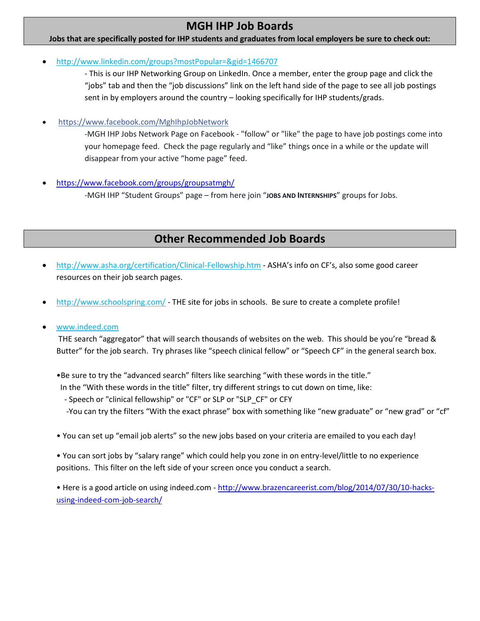# **MGH IHP Job Boards**

#### **Jobs that are specifically posted for IHP students and graduates from local employers be sure to check out:**

<http://www.linkedin.com/groups?mostPopular=&gid=1466707>

- This is our IHP Networking Group on LinkedIn. Once a member, enter the group page and click the "jobs" tab and then the "job discussions" link on the left hand side of the page to see all job postings sent in by employers around the country – looking specifically for IHP students/grads.

<https://www.facebook.com/MghIhpJobNetwork>

-MGH IHP Jobs Network Page on Facebook - "follow" or "like" the page to have job postings come into your homepage feed. Check the page regularly and "like" things once in a while or the update will disappear from your active "home page" feed.

<https://www.facebook.com/groups/groupsatmgh/>

-MGH IHP "Student Groups" page – from here join "**JOBS AND INTERNSHIPS**" groups for Jobs.

# **Other Recommended Job Boards**

- <http://www.asha.org/certification/Clinical-Fellowship.htm> ASHA's info on CF's, also some good career resources on their job search pages.
- <http://www.schoolspring.com/> THE site for jobs in schools. Be sure to create a complete profile!

## [www.indeed.com](http://www.indeed.com/)

THE search "aggregator" that will search thousands of websites on the web. This should be you're "bread & Butter" for the job search. Try phrases like "speech clinical fellow" or "Speech CF" in the general search box.

•Be sure to try the "advanced search" filters like searching "with these words in the title."

In the "With these words in the title" filter, try different strings to cut down on time, like:

 - Speech or "clinical fellowship" or "CF" or SLP or "SLP\_CF" or CFY -You can try the filters "With the exact phrase" box with something like "new graduate" or "new grad" or "cf"

• You can set up "email job alerts" so the new jobs based on your criteria are emailed to you each day!

• You can sort jobs by "salary range" which could help you zone in on entry-level/little to no experience positions. This filter on the left side of your screen once you conduct a search.

• Here is a good article on using indeed.com - [http://www.brazencareerist.com/blog/2014/07/30/10-hacks](http://www.brazencareerist.com/blog/2014/07/30/10-hacks-using-indeed-com-job-search/)[using-indeed-com-job-search/](http://www.brazencareerist.com/blog/2014/07/30/10-hacks-using-indeed-com-job-search/)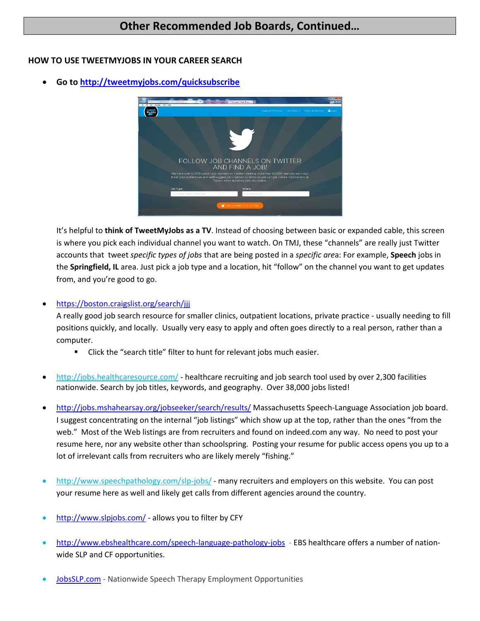## **Other Recommended Job Boards, Continued…**

### **HOW TO USE TWEETMYJOBS IN YOUR CAREER SEARCH**

**Go to<http://tweetmyjobs.com/quicksubscribe>**



It's helpful to **think of TweetMyJobs as a TV**. Instead of choosing between basic or expanded cable, this screen is where you pick each individual channel you want to watch. On TMJ, these "channels" are really just Twitter accounts that tweet *specific types of jobs* that are being posted in a *specific are*a: For example, **Speech** jobs in the **Springfield, IL** area. Just pick a job type and a location, hit "follow" on the channel you want to get updates from, and you're good to go.

<https://boston.craigslist.org/search/jjj>

A really good job search resource for smaller clinics, outpatient locations, private practice - usually needing to fill positions quickly, and locally. Usually very easy to apply and often goes directly to a real person, rather than a computer.

- **EXECLICE 15 In A** Click the "search title" filter to hunt for relevant jobs much easier.
- <http://jobs.healthcaresource.com/> healthcare recruiting and job search tool used by over 2,300 facilities nationwide. Search by job titles, keywords, and geography. Over 38,000 jobs listed!
- <http://jobs.mshahearsay.org/jobseeker/search/results/> Massachusetts Speech-Language Association job board. I suggest concentrating on the internal "job listings" which show up at the top, rather than the ones "from the web." Most of the Web listings are from recruiters and found on indeed.com any way. No need to post your resume here, nor any website other than schoolspring. Posting your resume for public access opens you up to a lot of irrelevant calls from recruiters who are likely merely "fishing."
- <http://www.speechpathology.com/slp-jobs/> many recruiters and employers on this website. You can post your resume here as well and likely get calls from different agencies around the country.
- <http://www.slpjobs.com/> allows you to filter by CFY
- <http://www.ebshealthcare.com/speech-language-pathology-jobs> EBS healthcare offers a number of nationwide SLP and CF opportunities.
- [JobsSLP.com](http://www.jobsslp.com/) Nationwide Speech Therapy Employment Opportunities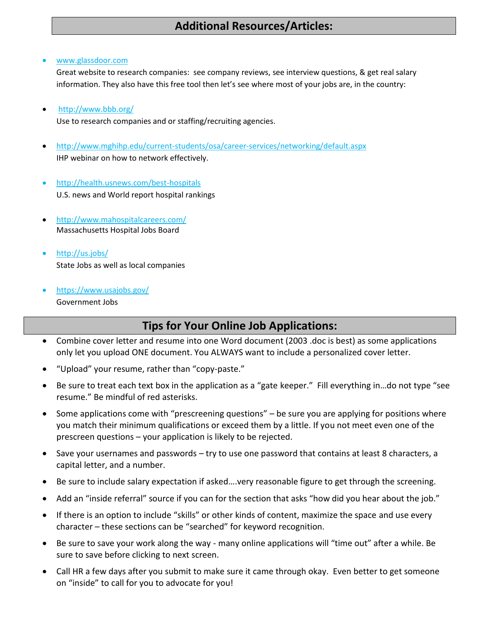# **Additional Resources/Articles:**

[www.glassdoor.com](http://www.glassdoor.com/)

Great website to research companies: see company reviews, see interview questions, & get real salary information. They also have this free tool then let's see where most of your jobs are, in the country:

<http://www.bbb.org/>

Use to research companies and or staffing/recruiting agencies.

- <http://www.mghihp.edu/current-students/osa/career-services/networking/default.aspx> IHP webinar on how to network effectively.
- <http://health.usnews.com/best-hospitals> U.S. news and World report hospital rankings
- <http://www.mahospitalcareers.com/> Massachusetts Hospital Jobs Board
- <http://us.jobs/> State Jobs as well as local companies
- <https://www.usajobs.gov/> Government Jobs

# **Tips for Your Online Job Applications:**

- Combine cover letter and resume into one Word document (2003 .doc is best) as some applications only let you upload ONE document. You ALWAYS want to include a personalized cover letter.
- "Upload" your resume, rather than "copy-paste."
- Be sure to treat each text box in the application as a "gate keeper." Fill everything in…do not type "see resume." Be mindful of red asterisks.
- Some applications come with "prescreening questions" be sure you are applying for positions where you match their minimum qualifications or exceed them by a little. If you not meet even one of the prescreen questions – your application is likely to be rejected.
- Save your usernames and passwords try to use one password that contains at least 8 characters, a capital letter, and a number.
- Be sure to include salary expectation if asked….very reasonable figure to get through the screening.
- Add an "inside referral" source if you can for the section that asks "how did you hear about the job."
- If there is an option to include "skills" or other kinds of content, maximize the space and use every character – these sections can be "searched" for keyword recognition.
- Be sure to save your work along the way many online applications will "time out" after a while. Be sure to save before clicking to next screen.
- Call HR a few days after you submit to make sure it came through okay. Even better to get someone on "inside" to call for you to advocate for you!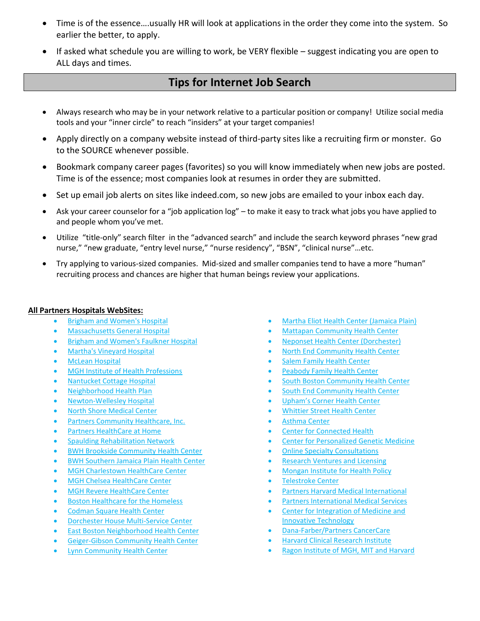- Time is of the essence….usually HR will look at applications in the order they come into the system. So earlier the better, to apply.
- If asked what schedule you are willing to work, be VERY flexible suggest indicating you are open to ALL days and times.

## **Tips for Internet Job Search**

- Always research who may be in your network relative to a particular position or company! Utilize social media tools and your "inner circle" to reach "insiders" at your target companies!
- Apply directly on a company website instead of third-party sites like a recruiting firm or monster. Go to the SOURCE whenever possible.
- Bookmark company career pages (favorites) so you will know immediately when new jobs are posted. Time is of the essence; most companies look at resumes in order they are submitted.
- Set up email job alerts on sites like indeed.com, so new jobs are emailed to your inbox each day.
- Ask your career counselor for a "job application log" to make it easy to track what jobs you have applied to and people whom you've met.
- Utilize "title-only" search filter in the "advanced search" and include the search keyword phrases "new grad nurse," "new graduate, "entry level nurse," "nurse residency", "BSN", "clinical nurse"…etc.
- Try applying to various-sized companies. Mid-sized and smaller companies tend to have a more "human" recruiting process and chances are higher that human beings review your applications.

#### **All Partners Hospitals WebSites:**

- [Brigham and Women's Hospital](http://www.brighamandwomens.org/)
- [Massachusetts General Hospital](http://www.massgeneral.org/)
- [Brigham and Women's Faulkner Hospital](http://www.faulknerhospital.org/)
- [Martha's Vineyard Hospital](http://www.mvhospital.com/mvh.php?page=home&pid=8)
- [McLean Hospital](http://www.mclean.harvard.edu/)
- [MGH Institute of Health Professions](http://www.mghihp.edu/)
- [Nantucket Cottage Hospital](http://nantuckethospital.org/)
- [Neighborhood Health Plan](http://www.nhp.org/Pages/home.aspx)
- [Newton-Wellesley Hospital](http://www.nwh.org/)
- [North Shore Medical Center](http://www.nsmc.partners.org/)
- [Partners Community Healthcare, Inc.](http://www.partners.org/For-Medical-Professionals/Partners-Community-Healthcare-Inc.aspx)
- [Partners HealthCare at Home](http://www.partnersathome.org/)
- [Spaulding Rehabilitation Network](http://www.spauldingnetwork.org/)
- [BWH Brookside Community Health Center](http://www.brighamandwomens.org/Departments_and_Services/medicine/services/primarycare/offices/brookside.aspx)
- **[BWH Southern Jamaica Plain Health Center](http://www.brighamandwomens.org/Departments_and_Services/medicine/services/primarycare/sjphc/default.aspx)**
- [MGH Charlestown HealthCare Center](http://www.massgeneral.org/charlestown/)
- [MGH Chelsea HealthCare Center](http://www.massgeneral.org/chelsea/)
- [MGH Revere HealthCare Center](http://www.massgeneral.org/revere/)
- [Boston Healthcare for the Homeless](http://www.bhchp.org/)
- [Codman Square Health Center](http://www.codman.org/)
- [Dorchester House Multi-Service Center](http://www.dorchesterhouse.org/)
- [East Boston Neighborhood Health Center](http://www.ebnhc.org/)
- [Geiger-Gibson Community Health Center](http://www.hhsi.us/metro-boston/geiger-gibson-community-health-center/)
- [Lynn Community Health Center](http://www.lchcnet.org/)
- [Martha Eliot Health Center \(Jamaica Plain\)](http://www.childrenshospital.org/clinicalservices/Site2274/mainpageS2274P0.html)
- [Mattapan Community Health Center](http://www.mattapanchc.org/)
- [Neponset Health Center \(Dorchester\)](http://www.hhsi.us/metro-boston/neponset-health-center/)
- [North End Community Health Center](http://www.massgeneral.org/northend/)
- [Salem Family Health Center](http://www.nsmc.partners.org/web/locations_detail/salem_family_health_center)
- [Peabody Family Health Center](http://nsmc.partners.org/peabody_family_health_center)
- [South Boston Community Health Center](http://www.sbchc.org/)
- [South End Community Health Center](http://www.sechc.org/en/)
- Upham's [Corner Health Center](http://www.uphamscornerhealthctr.com/)
- [Whittier Street Health Center](http://www.wshc.org/)
- [Asthma Center](http://www.asthma.partners.org/)
- [Center for Connected Health](http://www.connected-health.org/)
- [Center for Personalized Genetic Medicine](http://pcpgm.partners.org/)
- [Online Specialty Consultations](https://econsults.partners.org/v2/%28dl13ig25tel10jybenhxix45%29/Default.aspx)
- [Research Ventures and Licensing](http://rvl.partners.org/)
- [Mongan Institute for Health Policy](http://www.instituteforhealthpolicy.org/)
- [Telestroke Center](http://telestroke.massgeneral.org/default.aspx)
- [Partners Harvard Medical International](http://www.phmi.partners.org/)
- [Partners International Medical Services](http://www.partners.org/international/Default.aspx)
- [Center for Integration of Medicine and](http://www.cimit.org/)  [Innovative Technology](http://www.cimit.org/)
- [Dana-Farber/Partners CancerCare](http://cancercare.harvard.edu/default.html)
- [Harvard Clinical Research Institute](http://www.hcri.harvard.edu/)
- [Ragon Institute of MGH, MIT and Harvard](http://www.ragoninstitute.org/index.html)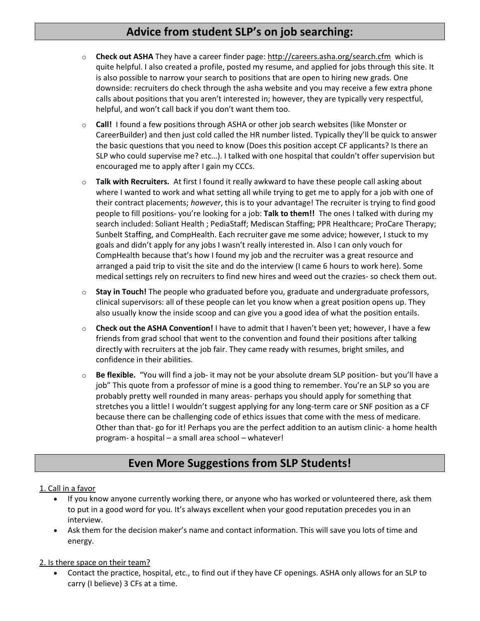# **Advice from student SLP's on job searching:**

- o **Check out ASHA** They have a career finder page:<http://careers.asha.org/search.cfm> which is quite helpful. I also created a profile, posted my resume, and applied for jobs through this site. It is also possible to narrow your search to positions that are open to hiring new grads. One downside: recruiters do check through the asha website and you may receive a few extra phone calls about positions that you aren't interested in; however, they are typically very respectful, helpful, and won't call back if you don't want them too.
- o **Call!** I found a few positions through ASHA or other job search websites (like Monster or CareerBuilder) and then just cold called the HR number listed. Typically they'll be quick to answer the basic questions that you need to know (Does this position accept CF applicants? Is there an SLP who could supervise me? etc…). I talked with one hospital that couldn't offer supervision but encouraged me to apply after I gain my CCCs.
- o **Talk with Recruiters.** At first I found it really awkward to have these people call asking about where I wanted to work and what setting all while trying to get me to apply for a job with one of their contract placements; *however*, this is to your advantage! The recruiter is trying to find good people to fill positions- you're looking for a job: **Talk to them!!** The ones I talked with during my search included: Soliant Health ; PediaStaff; Mediscan Staffing; PPR Healthcare; ProCare Therapy; Sunbelt Staffing, and CompHealth. Each recruiter gave me some advice; however, I stuck to my goals and didn't apply for any jobs I wasn't really interested in. Also I can only vouch for CompHealth because that's how I found my job and the recruiter was a great resource and arranged a paid trip to visit the site and do the interview (I came 6 hours to work here). Some medical settings rely on recruiters to find new hires and weed out the crazies- so check them out.
- o **Stay in Touch!** The people who graduated before you, graduate and undergraduate professors, clinical supervisors: all of these people can let you know when a great position opens up. They also usually know the inside scoop and can give you a good idea of what the position entails.
- **Check out the ASHA Convention!** I have to admit that I haven't been yet; however, I have a few friends from grad school that went to the convention and found their positions after talking directly with recruiters at the job fair. They came ready with resumes, bright smiles, and confidence in their abilities.
- o **Be flexible.** "You will find a job- it may not be your absolute dream SLP position- but you'll have a job" This quote from a professor of mine is a good thing to remember. You're an SLP so you are probably pretty well rounded in many areas- perhaps you should apply for something that stretches you a little! I wouldn't suggest applying for any long-term care or SNF position as a CF because there can be challenging code of ethics issues that come with the mess of medicare. Other than that- go for it! Perhaps you are the perfect addition to an autism clinic- a home health program- a hospital – a small area school – whatever!

# **Even More Suggestions from SLP Students!**

## 1. Call in a favor

- If you know anyone currently working there, or anyone who has worked or volunteered there, ask them to put in a good word for you. It's always excellent when your good reputation precedes you in an interview.
- Ask them for the decision maker's name and contact information. This will save you lots of time and energy.

## 2. Is there space on their team?

 Contact the practice, hospital, etc., to find out if they have CF openings. ASHA only allows for an SLP to carry (I believe) 3 CFs at a time.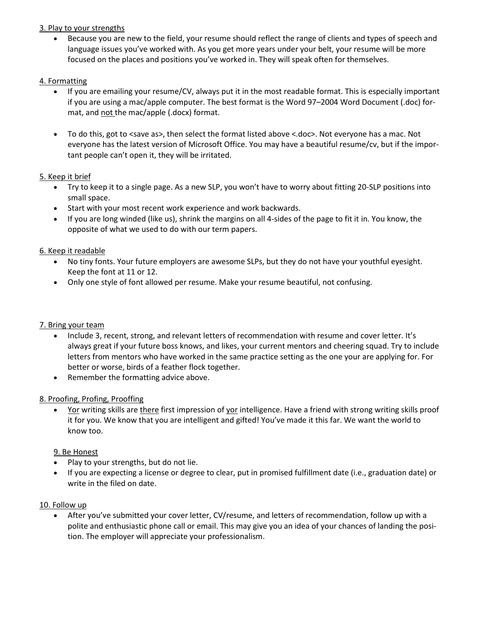## 3. Play to your strengths

 Because you are new to the field, your resume should reflect the range of clients and types of speech and language issues you've worked with. As you get more years under your belt, your resume will be more focused on the places and positions you've worked in. They will speak often for themselves.

## 4. Formatting

- If you are emailing your resume/CV, always put it in the most readable format. This is especially important if you are using a mac/apple computer. The best format is the Word 97–2004 Word Document (.doc) format, and not the mac/apple (.docx) format.
- To do this, got to <save as>, then select the format listed above <.doc>. Not everyone has a mac. Not everyone has the latest version of Microsoft Office. You may have a beautiful resume/cv, but if the important people can't open it, they will be irritated.

## 5. Keep it brief

- Try to keep it to a single page. As a new SLP, you won't have to worry about fitting 20-SLP positions into small space.
- Start with your most recent work experience and work backwards.
- If you are long winded (like us), shrink the margins on all 4-sides of the page to fit it in. You know, the opposite of what we used to do with our term papers.

## 6. Keep it readable

- No tiny fonts. Your future employers are awesome SLPs, but they do not have your youthful eyesight. Keep the font at 11 or 12.
- Only one style of font allowed per resume. Make your resume beautiful, not confusing.

## 7. Bring your team

- Include 3, recent, strong, and relevant letters of recommendation with resume and cover letter. It's always great if your future boss knows, and likes, your current mentors and cheering squad. Try to include letters from mentors who have worked in the same practice setting as the one your are applying for. For better or worse, birds of a feather flock together.
- Remember the formatting advice above.

## 8. Proofing, Profing, Prooffing

 Yor writing skills are there first impression of yor intelligence. Have a friend with strong writing skills proof it for you. We know that you are intelligent and gifted! You've made it this far. We want the world to know too.

## 9. Be Honest

- Play to your strengths, but do not lie.
- If you are expecting a license or degree to clear, put in promised fulfillment date (i.e., graduation date) or write in the filed on date.

## 10. Follow up

 After you've submitted your cover letter, CV/resume, and letters of recommendation, follow up with a polite and enthusiastic phone call or email. This may give you an idea of your chances of landing the position. The employer will appreciate your professionalism.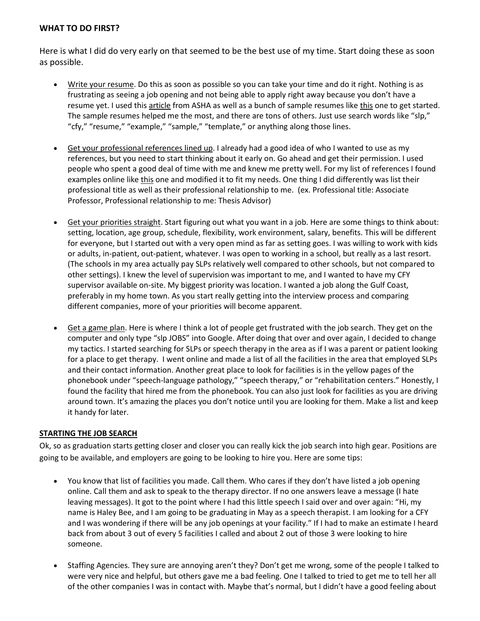## **WHAT TO DO FIRST?**

Here is what I did do very early on that seemed to be the best use of my time. Start doing these as soon as possible.

- Write your resume. Do this as soon as possible so you can take your time and do it right. Nothing is as frustrating as seeing a job opening and not being able to apply right away because you don't have a resume yet. I used this [article](http://blog.asha.org/2011/08/11/resume-preparation-tips/) from ASHA as well as a bunch of sample resumes like [this](http://www.jobbankusa.com/resumes/free_samples/examples_templates_formats/speech_language_pathologist.html) one to get started. The sample resumes helped me the most, and there are tons of others. Just use search words like "slp," "cfy," "resume," "example," "sample," "template," or anything along those lines.
- Get your professional references lined up. I already had a good idea of who I wanted to use as my references, but you need to start thinking about it early on. Go ahead and get their permission. I used people who spent a good deal of time with me and knew me pretty well. For my list of references I found examples online lik[e this](http://www.jobinterviewtools.com/blog/index.php/format-a-list-of-job-references/) one and modified it to fit my needs. One thing I did differently was list their professional title as well as their professional relationship to me. (ex. Professional title: Associate Professor, Professional relationship to me: Thesis Advisor)
- Get your priorities straight. Start figuring out what you want in a job. Here are some things to think about: setting, location, age group, schedule, flexibility, work environment, salary, benefits. This will be different for everyone, but I started out with a very open mind as far as setting goes. I was willing to work with kids or adults, in-patient, out-patient, whatever. I was open to working in a school, but really as a last resort. (The schools in my area actually pay SLPs relatively well compared to other schools, but not compared to other settings). I knew the level of supervision was important to me, and I wanted to have my CFY supervisor available on-site. My biggest priority was location. I wanted a job along the Gulf Coast, preferably in my home town. As you start really getting into the interview process and comparing different companies, more of your priorities will become apparent.
- Get a game plan. Here is where I think a lot of people get frustrated with the job search. They get on the computer and only type "slp JOBS" into Google. After doing that over and over again, I decided to change my tactics. I started searching for SLPs or speech therapy in the area as if I was a parent or patient looking for a place to get therapy. I went online and made a list of all the facilities in the area that employed SLPs and their contact information. Another great place to look for facilities is in the yellow pages of the phonebook under "speech-language pathology," "speech therapy," or "rehabilitation centers." Honestly, I found the facility that hired me from the phonebook. You can also just look for facilities as you are driving around town. It's amazing the places you don't notice until you are looking for them. Make a list and keep it handy for later.

#### **STARTING THE JOB SEARCH**

Ok, so as graduation starts getting closer and closer you can really kick the job search into high gear. Positions are going to be available, and employers are going to be looking to hire you. Here are some tips:

- You know that list of facilities you made. Call them. Who cares if they don't have listed a job opening online. Call them and ask to speak to the therapy director. If no one answers leave a message (I hate leaving messages). It got to the point where I had this little speech I said over and over again: "Hi, my name is Haley Bee, and I am going to be graduating in May as a speech therapist. I am looking for a CFY and I was wondering if there will be any job openings at your facility." If I had to make an estimate I heard back from about 3 out of every 5 facilities I called and about 2 out of those 3 were looking to hire someone.
- Staffing Agencies. They sure are annoying aren't they? Don't get me wrong, some of the people I talked to were very nice and helpful, but others gave me a bad feeling. One I talked to tried to get me to tell her all of the other companies I was in contact with. Maybe that's normal, but I didn't have a good feeling about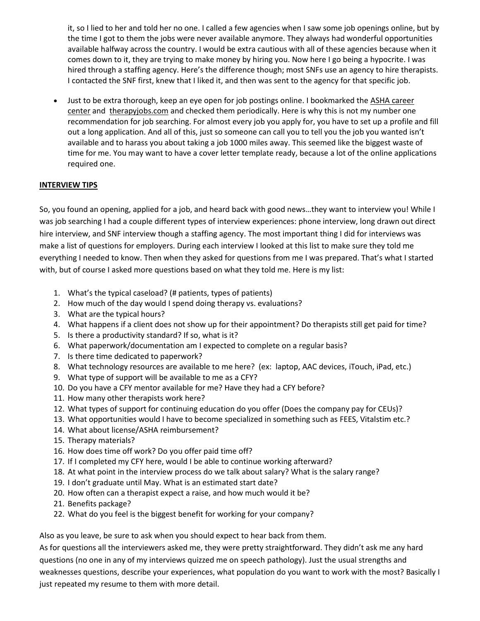it, so I lied to her and told her no one. I called a few agencies when I saw some job openings online, but by the time I got to them the jobs were never available anymore. They always had wonderful opportunities available halfway across the country. I would be extra cautious with all of these agencies because when it comes down to it, they are trying to make money by hiring you. Now here I go being a hypocrite. I was hired through a staffing agency. Here's the difference though; most SNFs use an agency to hire therapists. I contacted the SNF first, knew that I liked it, and then was sent to the agency for that specific job.

 Just to be extra thorough, keep an eye open for job postings online. I bookmarked th[e ASHA career](http://careers.asha.org/search.cfm)  [center](http://careers.asha.org/search.cfm) and [therapyjobs.com](http://www.therapyjobs.com/) and checked them periodically. Here is why this is not my number one recommendation for job searching. For almost every job you apply for, you have to set up a profile and fill out a long application. And all of this, just so someone can call you to tell you the job you wanted isn't available and to harass you about taking a job 1000 miles away. This seemed like the biggest waste of time for me. You may want to have a cover letter template ready, because a lot of the online applications required one.

## **INTERVIEW TIPS**

So, you found an opening, applied for a job, and heard back with good news…they want to interview you! While I was job searching I had a couple different types of interview experiences: phone interview, long drawn out direct hire interview, and SNF interview though a staffing agency. The most important thing I did for interviews was make a list of questions for employers. During each interview I looked at this list to make sure they told me everything I needed to know. Then when they asked for questions from me I was prepared. That's what I started with, but of course I asked more questions based on what they told me. Here is my list:

- 1. What's the typical caseload? (# patients, types of patients)
- 2. How much of the day would I spend doing therapy vs. evaluations?
- 3. What are the typical hours?
- 4. What happens if a client does not show up for their appointment? Do therapists still get paid for time?
- 5. Is there a productivity standard? If so, what is it?
- 6. What paperwork/documentation am I expected to complete on a regular basis?
- 7. Is there time dedicated to paperwork?
- 8. What technology resources are available to me here? (ex: laptop, AAC devices, iTouch, iPad, etc.)
- 9. What type of support will be available to me as a CFY?
- 10. Do you have a CFY mentor available for me? Have they had a CFY before?
- 11. How many other therapists work here?
- 12. What types of support for continuing education do you offer (Does the company pay for CEUs)?
- 13. What opportunities would I have to become specialized in something such as FEES, Vitalstim etc.?
- 14. What about license/ASHA reimbursement?
- 15. Therapy materials?
- 16. How does time off work? Do you offer paid time off?
- 17. If I completed my CFY here, would I be able to continue working afterward?
- 18. At what point in the interview process do we talk about salary? What is the salary range?
- 19. I don't graduate until May. What is an estimated start date?
- 20. How often can a therapist expect a raise, and how much would it be?
- 21. Benefits package?
- 22. What do you feel is the biggest benefit for working for your company?

Also as you leave, be sure to ask when you should expect to hear back from them.

As for questions all the interviewers asked me, they were pretty straightforward. They didn't ask me any hard questions (no one in any of my interviews quizzed me on speech pathology). Just the usual strengths and weaknesses questions, describe your experiences, what population do you want to work with the most? Basically I just repeated my resume to them with more detail.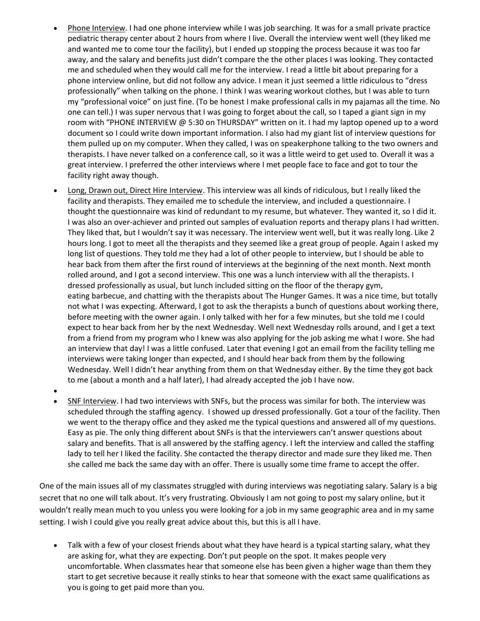- Phone Interview. I had one phone interview while I was job searching. It was for a small private practice pediatric therapy center about 2 hours from where I live. Overall the interview went well (they liked me and wanted me to come tour the facility), but I ended up stopping the process because it was too far away, and the salary and benefits just didn't compare the the other places I was looking. They contacted me and scheduled when they would call me for the interview. I read a little bit about preparing for a phone interview online, but did not follow any advice. I mean it just seemed a little ridiculous to "dress professionally" when talking on the phone. I think I was wearing workout clothes, but I was able to turn my "professional voice" on just fine. (To be honest I make professional calls in my pajamas all the time. No one can tell.) I was super nervous that I was going to forget about the call, so I taped a giant sign in my room with "PHONE INTERVIEW @ 5:30 on THURSDAY" written on it. I had my laptop opened up to a word document so I could write down important information. I also had my giant list of interview questions for them pulled up on my computer. When they called, I was on speakerphone talking to the two owners and therapists. I have never talked on a conference call, so it was a little weird to get used to. Overall it was a great interview. I preferred the other interviews where I met people face to face and got to tour the facility right away though.
- Long, Drawn out, Direct Hire Interview. This interview was all kinds of ridiculous, but I really liked the facility and therapists. They emailed me to schedule the interview, and included a questionnaire. I thought the questionnaire was kind of redundant to my resume, but whatever. They wanted it, so I did it. I was also an over-achiever and printed out samples of evaluation reports and therapy plans I had written. They liked that, but I wouldn't say it was necessary. The interview went well, but it was really long. Like 2 hours long. I got to meet all the therapists and they seemed like a great group of people. Again I asked my long list of questions. They told me they had a lot of other people to interview, but I should be able to hear back from them after the first round of interviews at the beginning of the next month. Next month rolled around, and I got a second interview. This one was a lunch interview with all the therapists. I dressed professionally as usual, but lunch included sitting on the floor of the therapy gym, eating barbecue, and chatting with the therapists about The Hunger Games. It was a nice time, but totally not what I was expecting. Afterward, I got to ask the therapists a bunch of questions about working there, before meeting with the owner again. I only talked with her for a few minutes, but she told me I could expect to hear back from her by the next Wednesday. Well next Wednesday rolls around, and I get a text from a friend from my program who I knew was also applying for the job asking me what I wore. She had an interview that day! I was a little confused. Later that evening I got an email from the facility telling me interviews were taking longer than expected, and I should hear back from them by the following Wednesday. Well I didn't hear anything from them on that Wednesday either. By the time they got back to me (about a month and a half later), I had already accepted the job I have now.
- $\bullet$
- SNF Interview. I had two interviews with SNFs, but the process was similar for both. The interview was scheduled through the staffing agency. I showed up dressed professionally. Got a tour of the facility. Then we went to the therapy office and they asked me the typical questions and answered all of my questions. Easy as pie. The only thing different about SNFs is that the interviewers can't answer questions about salary and benefits. That is all answered by the staffing agency. I left the interview and called the staffing lady to tell her I liked the facility. She contacted the therapy director and made sure they liked me. Then she called me back the same day with an offer. There is usually some time frame to accept the offer.

One of the main issues all of my classmates struggled with during interviews was negotiating salary. Salary is a big secret that no one will talk about. It's very frustrating. Obviously I am not going to post my salary online, but it wouldn't really mean much to you unless you were looking for a job in my same geographic area and in my same setting. I wish I could give you really great advice about this, but this is all I have.

 Talk with a few of your closest friends about what they have heard is a typical starting salary, what they are asking for, what they are expecting. Don't put people on the spot. It makes people very uncomfortable. When classmates hear that someone else has been given a higher wage than them they start to get secretive because it really stinks to hear that someone with the exact same qualifications as you is going to get paid more than you.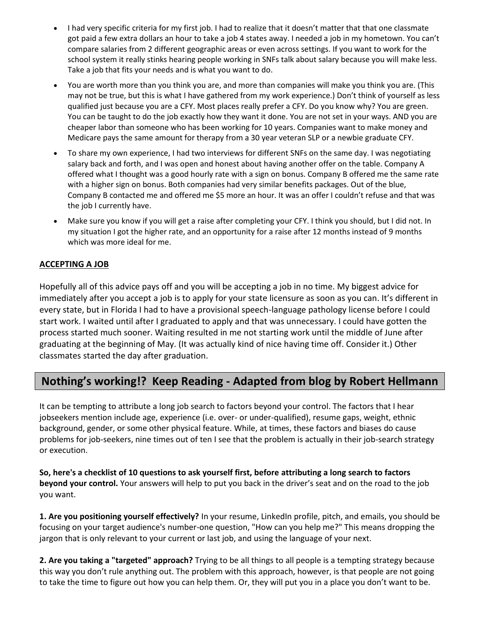- I had very specific criteria for my first job. I had to realize that it doesn't matter that that one classmate got paid a few extra dollars an hour to take a job 4 states away. I needed a job in my hometown. You can't compare salaries from 2 different geographic areas or even across settings. If you want to work for the school system it really stinks hearing people working in SNFs talk about salary because you will make less. Take a job that fits your needs and is what you want to do.
- You are worth more than you think you are, and more than companies will make you think you are. (This may not be true, but this is what I have gathered from my work experience.) Don't think of yourself as less qualified just because you are a CFY. Most places really prefer a CFY. Do you know why? You are green. You can be taught to do the job exactly how they want it done. You are not set in your ways. AND you are cheaper labor than someone who has been working for 10 years. Companies want to make money and Medicare pays the same amount for therapy from a 30 year veteran SLP or a newbie graduate CFY.
- To share my own experience, I had two interviews for different SNFs on the same day. I was negotiating salary back and forth, and I was open and honest about having another offer on the table. Company A offered what I thought was a good hourly rate with a sign on bonus. Company B offered me the same rate with a higher sign on bonus. Both companies had very similar benefits packages. Out of the blue, Company B contacted me and offered me \$5 more an hour. It was an offer I couldn't refuse and that was the job I currently have.
- Make sure you know if you will get a raise after completing your CFY. I think you should, but I did not. In my situation I got the higher rate, and an opportunity for a raise after 12 months instead of 9 months which was more ideal for me.

## **ACCEPTING A JOB**

Hopefully all of this advice pays off and you will be accepting a job in no time. My biggest advice for immediately after you accept a job is to apply for your state licensure as soon as you can. It's different in every state, but in Florida I had to have a provisional speech-language pathology license before I could start work. I waited until after I graduated to apply and that was unnecessary. I could have gotten the process started much sooner. Waiting resulted in me not starting work until the middle of June after graduating at the beginning of May. (It was actually kind of nice having time off. Consider it.) Other classmates started the day after graduation.

# **Nothing's working!? Keep Reading - Adapted from blog by Robert Hellmann**

It can be tempting to attribute a long job search to factors beyond your control. The factors that I hear jobseekers mention include age, experience (i.e. over- or under-qualified), resume gaps, weight, ethnic background, gender, or some other physical feature. While, at times, these factors and biases do cause problems for job-seekers, nine times out of ten I see that the problem is actually in their job-search strategy or execution.

**So, here's a checklist of 10 questions to ask yourself first, before attributing a long search to factors beyond your control.** Your answers will help to put you back in the driver's seat and on the road to the job you want.

**1. Are you positioning yourself effectively?** In your resume, LinkedIn profile, pitch, and emails, you should be focusing on your target audience's number-one question, "How can you help me?" This means dropping the jargon that is only relevant to your current or last job, and using the language of your next.

**2. Are you taking a "targeted" approach?** Trying to be all things to all people is a tempting strategy because this way you don't rule anything out. The problem with this approach, however, is that people are not going to take the time to figure out how you can help them. Or, they will put you in a place you don't want to be.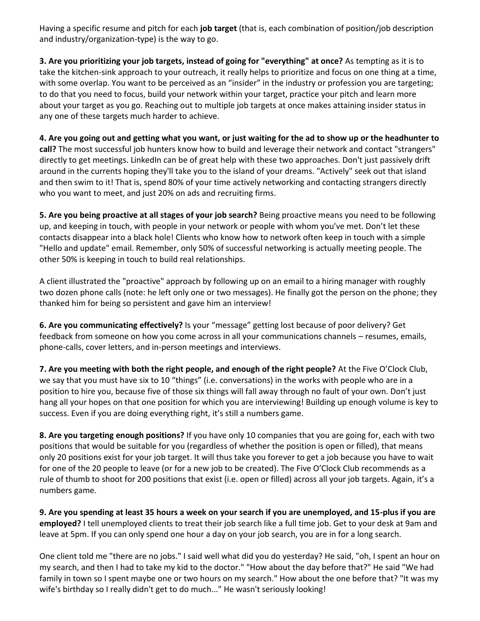Having a specific resume and pitch for each **job target** (that is, each combination of position/job description and industry/organization-type) is the way to go.

**3. Are you prioritizing your job targets, instead of going for "everything" at once?** As tempting as it is to take the kitchen-sink approach to your outreach, it really helps to prioritize and focus on one thing at a time, with some overlap. You want to be perceived as an "insider" in the industry or profession you are targeting; to do that you need to focus, build your network within your target, practice your pitch and learn more about your target as you go. Reaching out to multiple job targets at once makes attaining insider status in any one of these targets much harder to achieve.

**4. Are you going out and getting what you want, or just waiting for the ad to show up or the headhunter to call?** The most successful job hunters know how to build and leverage their network and contact "strangers" directly to get meetings. LinkedIn can be of great help with these two approaches. Don't just passively drift around in the currents hoping they'll take you to the island of your dreams. "Actively" seek out that island and then swim to it! That is, spend 80% of your time actively networking and contacting strangers directly who you want to meet, and just 20% on ads and recruiting firms.

**5. Are you being proactive at all stages of your job search?** Being proactive means you need to be following up, and keeping in touch, with people in your network or people with whom you've met. Don't let these contacts disappear into a black hole! Clients who know how to network often keep in touch with a simple "Hello and update" email. Remember, only 50% of successful networking is actually meeting people. The other 50% is keeping in touch to build real relationships.

A client illustrated the "proactive" approach by following up on an email to a hiring manager with roughly two dozen phone calls (note: he left only one or two messages). He finally got the person on the phone; they thanked him for being so persistent and gave him an interview!

**6. Are you communicating effectively?** Is your "message" getting lost because of poor delivery? Get feedback from someone on how you come across in all your communications channels – resumes, emails, phone-calls, cover letters, and in-person meetings and interviews.

**7. Are you meeting with both the right people, and enough of the right people?** At the Five O'Clock Club, we say that you must have six to 10 "things" (i.e. conversations) in the works with people who are in a position to hire you, because five of those six things will fall away through no fault of your own. Don't just hang all your hopes on that one position for which you are interviewing! Building up enough volume is key to success. Even if you are doing everything right, it's still a numbers game.

**8. Are you targeting enough positions?** If you have only 10 companies that you are going for, each with two positions that would be suitable for you (regardless of whether the position is open or filled), that means only 20 positions exist for your job target. It will thus take you forever to get a job because you have to wait for one of the 20 people to leave (or for a new job to be created). The Five O'Clock Club recommends as a rule of thumb to shoot for 200 positions that exist (i.e. open or filled) across all your job targets. Again, it's a numbers game.

**9. Are you spending at least 35 hours a week on your search if you are unemployed, and 15-plus if you are employed?** I tell unemployed clients to treat their job search like a full time job. Get to your desk at 9am and leave at 5pm. If you can only spend one hour a day on your job search, you are in for a long search.

One client told me "there are no jobs." I said well what did you do yesterday? He said, "oh, I spent an hour on my search, and then I had to take my kid to the doctor." "How about the day before that?" He said "We had family in town so I spent maybe one or two hours on my search." How about the one before that? "It was my wife's birthday so I really didn't get to do much..." He wasn't seriously looking!